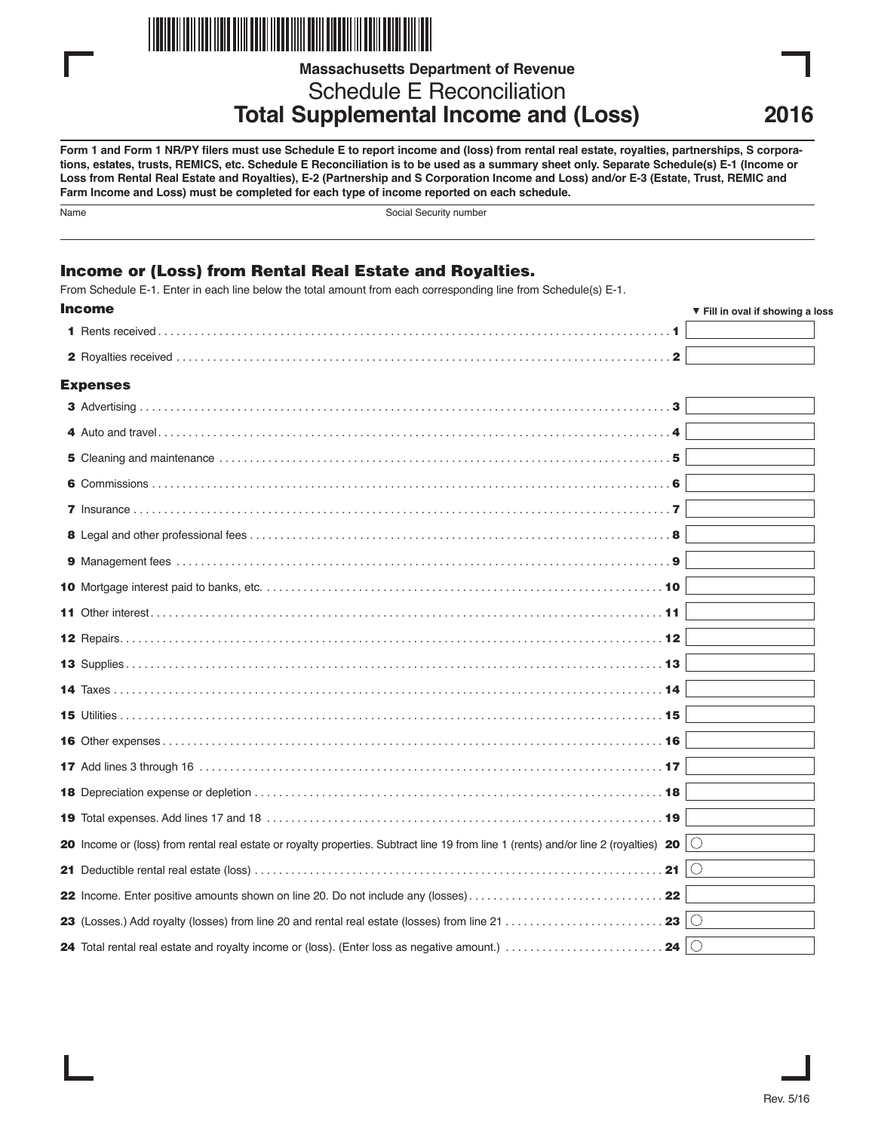

**Massachusetts Department of Revenue**

Schedule E Reconciliation **Total Supplemental Income and (Loss)**

**Form 1 and Form 1 NR/PY filers must use Schedule E to report income and (loss) from rental real estate, royalties, partnerships, S corporations, estates, trusts, REMICS, etc. Schedule E Reconciliation is to be used as a summary sheet only. Separate Schedule(s) E-1 (Income or Loss from Rental Real Estate and Royalties), E-2 (Partnership and S Corporation Income and Loss) and/or E-3 (Estate, Trust, REMIC and Farm Income and Loss) must be completed for each type of income reported on each schedule.**

| ×<br>×<br>I<br>P.<br>. . |
|--------------------------|
|                          |

Social Security number

## **Income or (Loss) from Rental Real Estate and Royalties.**

From Schedule E-1. Enter in each line below the total amount from each corresponding line from Schedule(s) E-1.

| <b>Income</b>                                                                                                                                             | ▼ Fill in oval if showing a loss |
|-----------------------------------------------------------------------------------------------------------------------------------------------------------|----------------------------------|
|                                                                                                                                                           |                                  |
| $\mathbf{2}$                                                                                                                                              |                                  |
| <b>Expenses</b>                                                                                                                                           |                                  |
| $\mathbf{3}$                                                                                                                                              |                                  |
|                                                                                                                                                           |                                  |
|                                                                                                                                                           |                                  |
|                                                                                                                                                           |                                  |
|                                                                                                                                                           |                                  |
|                                                                                                                                                           |                                  |
|                                                                                                                                                           |                                  |
|                                                                                                                                                           |                                  |
|                                                                                                                                                           |                                  |
|                                                                                                                                                           |                                  |
|                                                                                                                                                           |                                  |
|                                                                                                                                                           |                                  |
|                                                                                                                                                           |                                  |
|                                                                                                                                                           |                                  |
|                                                                                                                                                           |                                  |
|                                                                                                                                                           |                                  |
|                                                                                                                                                           |                                  |
| 20 Income or (loss) from rental real estate or royalty properties. Subtract line 19 from line 1 (rents) and/or line 2 (royalties) 20 $\circ$              |                                  |
|                                                                                                                                                           |                                  |
|                                                                                                                                                           |                                  |
| 23 (Losses.) Add royalty (losses) from line 20 and rental real estate (losses) from line 21 $\ldots\ldots\ldots\ldots\ldots\ldots\ldots$ . 23 $ \bigcirc$ |                                  |
| 24<br>24 Total rental real estate and royalty income or (loss). (Enter loss as negative amount.)                                                          | $\bigcirc$                       |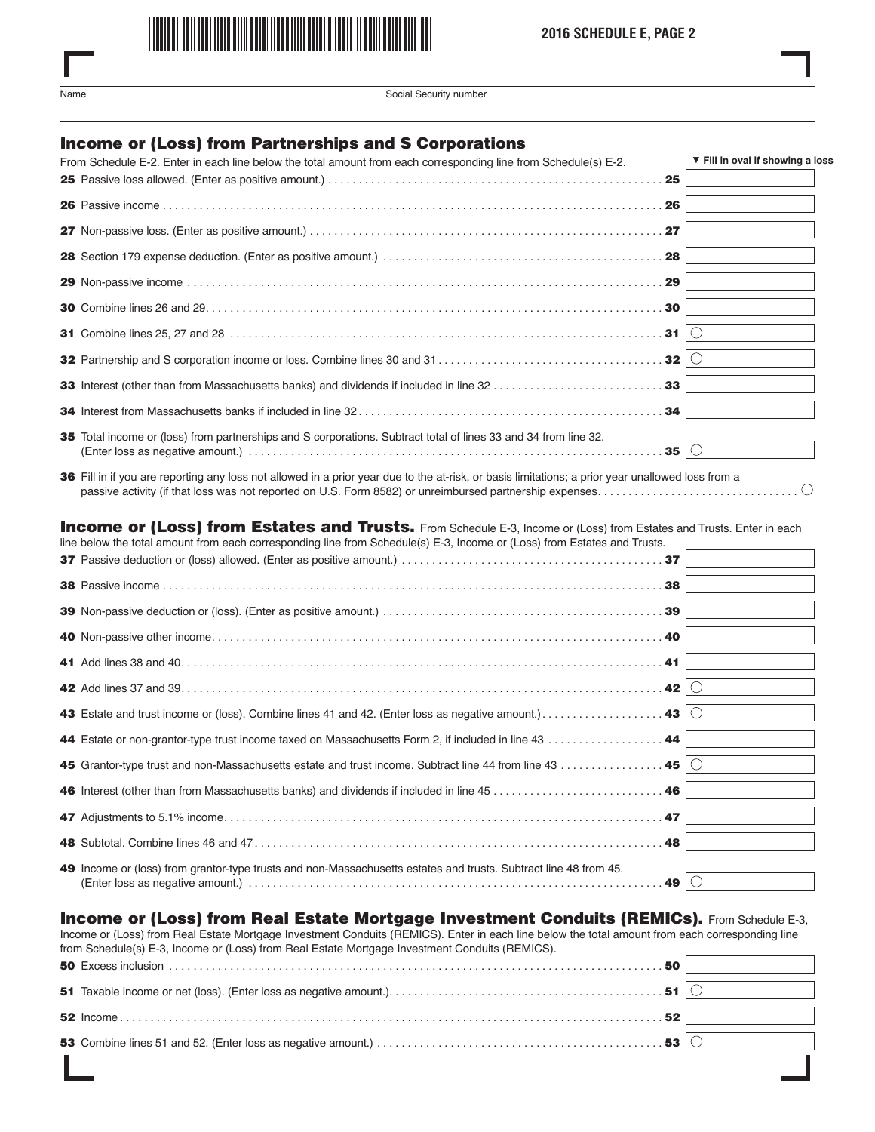

Name Social Security number

### **Income or (Loss) from Partnerships and S Corporations**

| From Schedule E-2. Enter in each line below the total amount from each corresponding line from Schedule(s) E-2. | ▼ Fill in oval if showing a loss |
|-----------------------------------------------------------------------------------------------------------------|----------------------------------|
|                                                                                                                 |                                  |
|                                                                                                                 |                                  |
|                                                                                                                 |                                  |
|                                                                                                                 |                                  |
|                                                                                                                 |                                  |
|                                                                                                                 |                                  |
|                                                                                                                 |                                  |
|                                                                                                                 |                                  |
|                                                                                                                 |                                  |
|                                                                                                                 |                                  |
| 35 Total income or (loss) from partnerships and S corporations. Subtract total of lines 33 and 34 from line 32. |                                  |
|                                                                                                                 |                                  |

 Fill in if you are reporting any loss not allowed in a prior year due to the at-risk, or basis limitations; a prior year unallowed loss from a passive activity (if that loss was not reported on U.S. Form 8582) or unreimbursed partnership expenses. . . . . . . . . . . . . . . . . . . . . . . . . . . . . . . . .

#### **Income or (Loss) from Estates and Trusts.** From Schedule E-3, Income or (Loss) from Estates and Trusts. Enter in each line below the total amount from each corresponding line from Schedule(s) E-3, Income or (Loss) from Estates and Trusts.

| $\frac{1}{2}$ bolon and total amount non-capit conceptinging into non-conceale(e) $\sqsubset$ 0, intonity of ( $\sqsubset$ 000) non- $\sqsubset$ 014100 and 114010. |        |  |
|---------------------------------------------------------------------------------------------------------------------------------------------------------------------|--------|--|
|                                                                                                                                                                     |        |  |
|                                                                                                                                                                     | 38     |  |
|                                                                                                                                                                     |        |  |
|                                                                                                                                                                     |        |  |
|                                                                                                                                                                     |        |  |
|                                                                                                                                                                     |        |  |
|                                                                                                                                                                     |        |  |
|                                                                                                                                                                     |        |  |
| 45 Grantor-type trust and non-Massachusetts estate and trust income. Subtract line 44 from line 43 45 $\circ$                                                       |        |  |
|                                                                                                                                                                     |        |  |
|                                                                                                                                                                     |        |  |
|                                                                                                                                                                     |        |  |
| 49 Income or (loss) from grantor-type trusts and non-Massachusetts estates and trusts. Subtract line 48 from 45.                                                    | .49 ∣⊜ |  |

### **Income or (Loss) from Real Estate Mortgage Investment Conduits (REMICs).** From Schedule E-3,

Income or (Loss) from Real Estate Mortgage Investment Conduits (REMICS). Enter in each line below the total amount from each corresponding line from Schedule(s) E-3, Income or (Loss) from Real Estate Mortgage Investment Conduits (REMICS).